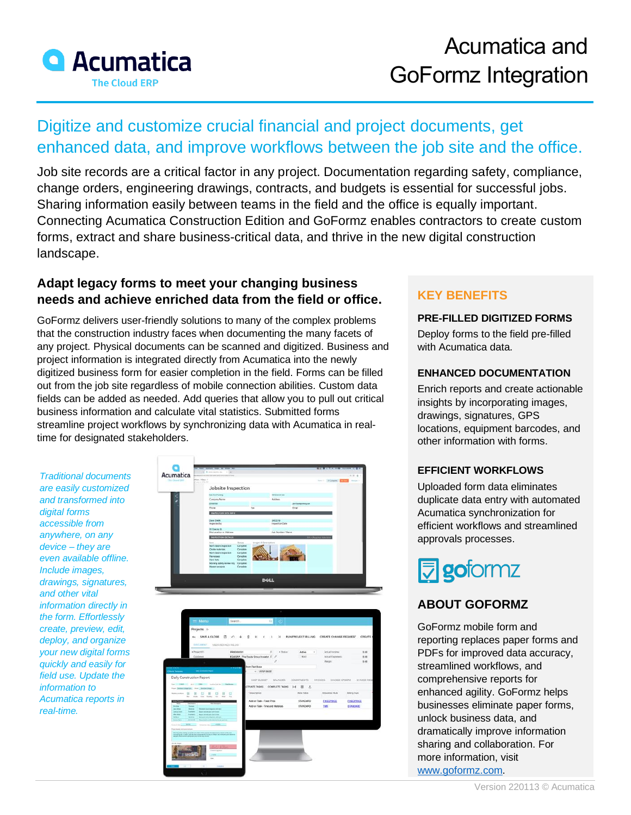

# Digitize and customize crucial financial and project documents, get enhanced data, and improve workflows between the job site and the office.

Job site records are a critical factor in any project. Documentation regarding safety, compliance, change orders, engineering drawings, contracts, and budgets is essential for successful jobs. Sharing information easily between teams in the field and the office is equally important. Connecting Acumatica Construction Edition and GoFormz enables contractors to create custom forms, extract and share business-critical data, and thrive in the new digital construction landscape.

## **Adapt legacy forms to meet your changing business needs and achieve enriched data from the field or office.**

GoFormz delivers user-friendly solutions to many of the complex problems that the construction industry faces when documenting the many facets of any project. Physical documents can be scanned and digitized. Business and project information is integrated directly from Acumatica into the newly digitized business form for easier completion in the field. Forms can be filled out from the job site regardless of mobile connection abilities. Custom data fields can be added as needed. Add queries that allow you to pull out critical business information and calculate vital statistics. Submitted forms streamline project workflows by synchronizing data with Acumatica in realtime for designated stakeholders.

*Traditional documents are easily customized and transformed into digital forms accessible from anywhere, on any device – they are even available offline. Include images, drawings, signatures, and other vital information directly in the form. Effortlessly create, preview, edit, deploy, and organize your new digital forms quickly and easily for field use. Update the information to Acumatica reports in real-time.* 

B

| Acumatica                 | <b>SCHECHERS ENTITE</b>                                                                 | 19. Il movemento 19. 1-4.                              |                                                               |                                  |                                    |                                     |                              |
|---------------------------|-----------------------------------------------------------------------------------------|--------------------------------------------------------|---------------------------------------------------------------|----------------------------------|------------------------------------|-------------------------------------|------------------------------|
| The Classifier            | <b>Dion</b> - New 1                                                                     |                                                        |                                                               |                                  |                                    | turn - or Couples                   |                              |
|                           |                                                                                         | Jobsite Inspection                                     |                                                               |                                  |                                    |                                     |                              |
|                           | <b>Said Purch Processing</b>                                                            |                                                        |                                                               | <b>No Mandale Die Band</b>       |                                    |                                     |                              |
|                           | <b>SAMANE</b>                                                                           | Company Name                                           |                                                               | Address                          |                                    |                                     |                              |
|                           | Rose                                                                                    |                                                        | Fox                                                           |                                  | Email                              |                                     |                              |
|                           |                                                                                         | INSPECTION SITE INFO                                   |                                                               |                                  |                                    |                                     |                              |
|                           | Dave Smith<br>inspected by                                                              |                                                        |                                                               | 5/0/2019<br>Inpertion Date       |                                    |                                     |                              |
|                           | 33 Deices St.                                                                           |                                                        |                                                               |                                  |                                    |                                     |                              |
|                           |                                                                                         | Ste Lacation or Address                                |                                                               | Job Number / Name                |                                    |                                     |                              |
|                           | 3 p.m.                                                                                  | INVECTOR DETALS                                        | Steine<br>$-0.1$                                              |                                  |                                    |                                     |                              |
|                           |                                                                                         | North bears inspection<br>Oreallo restorialis          | Complete<br>Complete                                          |                                  |                                    |                                     |                              |
|                           | <b>Harnistone</b>                                                                       | Northbears inspector.                                  | Camplete<br>Caracters                                         |                                  |                                    |                                     |                              |
|                           | <b>Hard Nats</b>                                                                        |                                                        | Complete                                                      |                                  |                                    |                                     |                              |
|                           |                                                                                         | Morring safety review resp. Complete<br>Haned analysis | Campbelo                                                      |                                  |                                    |                                     |                              |
|                           |                                                                                         |                                                        |                                                               |                                  |                                    |                                     |                              |
|                           |                                                                                         |                                                        |                                                               | <b>DOLL</b>                      |                                    |                                     |                              |
|                           |                                                                                         |                                                        |                                                               |                                  |                                    |                                     |                              |
|                           |                                                                                         |                                                        |                                                               |                                  |                                    |                                     |                              |
|                           |                                                                                         |                                                        |                                                               |                                  |                                    |                                     |                              |
|                           |                                                                                         |                                                        |                                                               |                                  |                                    |                                     |                              |
|                           | $\equiv$ Menu                                                                           | Search.                                                |                                                               | $a \mid 0$                       |                                    |                                     |                              |
|                           | Projects in                                                                             |                                                        |                                                               |                                  |                                    |                                     |                              |
|                           |                                                                                         |                                                        |                                                               |                                  |                                    |                                     |                              |
|                           |                                                                                         |                                                        |                                                               |                                  |                                    |                                     |                              |
|                           | DOCUMENT USER-DEPINED FIELDS                                                            |                                                        |                                                               |                                  |                                    |                                     |                              |
|                           | · Project IO<br>Géberie                                                                 | PR0000031                                              |                                                               | $D$ + Sata                       | Active                             | Actual Inquiries                    | 0.00                         |
|                           |                                                                                         |                                                        | DQUGRP - The Douty Group Investor $ {\cal D} \cdot {\cal P} $ | $\mathcal{E}$                    | $+600$                             | Actual Exportance:<br>Metgit:       | 0.00<br>0.68                 |
|                           |                                                                                         |                                                        | From Test Base                                                |                                  |                                    |                                     |                              |
|                           | <b>Circle Communication</b>                                                             |                                                        | + VEW BASE                                                    |                                  |                                    |                                     |                              |
| Daily Construction Report |                                                                                         |                                                        |                                                               | COST BUDGET BALANCES             |                                    | COMMITMENTS INVOICES ENVIOLE/ORDERS |                              |
|                           | <b>CONTRACTOR AND STATE AND</b>                                                         | who for the beam of                                    |                                                               | CTIWITE TASKS COMPLETE TASKS     | $H$ $R$ $L$                        |                                     | O WASE REQ                   |
| 佃                         | - Jatmildrafte, Ave [Dobbibba]]<br>田<br>$\boxed{5}$<br>G.                               | 日<br>$\Box$<br>- 回                                     | *Deanriceine                                                  |                                  | <b>Rate Tobio</b>                  | Allocation Rule                     | <b>Billing Rule</b>          |
|                           |                                                                                         |                                                        |                                                               |                                  |                                    |                                     |                              |
|                           |                                                                                         |                                                        | Add-on Task - Fload Price                                     | Add-on Task - Time and Materials | <b>STANDARD</b><br><b>STANDARD</b> | <b>EDIZOPRICE</b><br>788            | <b>FAILTERED</b><br>8TANDARD |
| <b>Long Sta</b>           | <b>Build Linkins and why how</b>                                                        |                                                        |                                                               |                                  |                                    |                                     |                              |
|                           |                                                                                         |                                                        |                                                               |                                  |                                    |                                     |                              |
|                           |                                                                                         | <b>Fall</b>                                            |                                                               |                                  |                                    |                                     |                              |
|                           |                                                                                         |                                                        |                                                               |                                  |                                    |                                     |                              |
|                           | nis booking bornshald and there filted associated throw during distance and a state and |                                                        |                                                               |                                  |                                    |                                     |                              |
|                           |                                                                                         |                                                        |                                                               |                                  |                                    |                                     |                              |
|                           |                                                                                         |                                                        |                                                               |                                  |                                    |                                     |                              |
|                           |                                                                                         |                                                        |                                                               |                                  |                                    |                                     |                              |
|                           |                                                                                         |                                                        |                                                               |                                  |                                    |                                     |                              |

# **KEY BENEFITS**

#### **PRE-FILLED DIGITIZED FORMS**

Deploy forms to the field pre-filled with Acumatica data.

#### **ENHANCED DOCUMENTATION**

Enrich reports and create actionable insights by incorporating images, drawings, signatures, GPS locations, equipment barcodes, and other information with forms.

#### **EFFICIENT WORKFLOWS**

Uploaded form data eliminates duplicate data entry with automated Acumatica synchronization for efficient workflows and streamlined approvals processes.



# **ABOUT GOFORMZ**

GoFormz mobile form and reporting replaces paper forms and PDFs for improved data accuracy, streamlined workflows, and comprehensive reports for enhanced agility. GoFormz helps businesses eliminate paper forms, unlock business data, and dramatically improve information sharing and collaboration. For more information, visit [www.goformz.com.](https://www.goformz.com/?utm_source=partner&utm_medium=acumatica&utm_campaign=datasheet&utm_content=homepage)